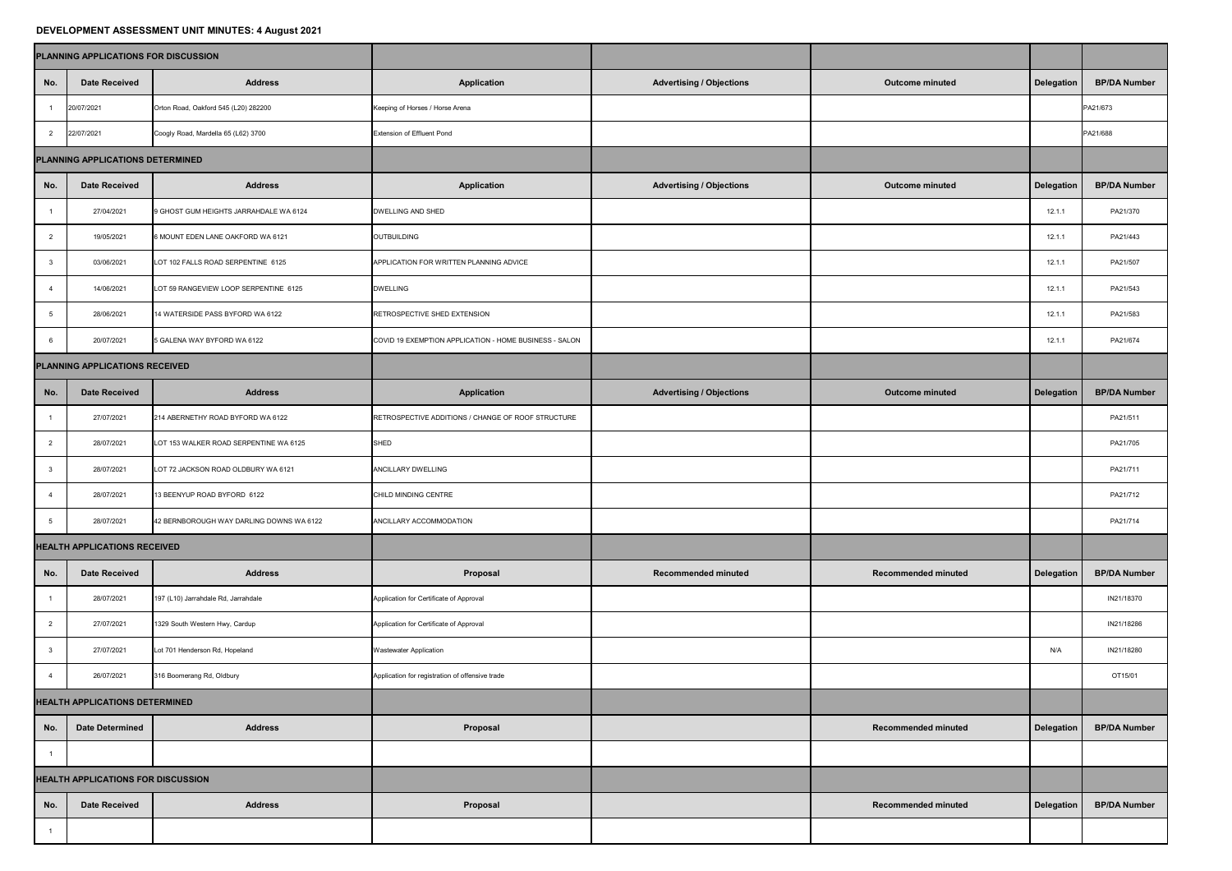## **DEVELOPMENT ASSESSMENT UNIT MINUTES: 4 August 2021**

|                                           | PLANNING APPLICATIONS FOR DISCUSSION |                                          |                                                        |                                 |                            |            |                     |
|-------------------------------------------|--------------------------------------|------------------------------------------|--------------------------------------------------------|---------------------------------|----------------------------|------------|---------------------|
| No.                                       | <b>Date Received</b>                 | <b>Address</b>                           | <b>Application</b>                                     | <b>Advertising / Objections</b> | <b>Outcome minuted</b>     | Delegation | <b>BP/DA Number</b> |
|                                           | 20/07/2021                           | Orton Road, Oakford 545 (L20) 282200     | Keeping of Horses / Horse Arena                        |                                 |                            |            | PA21/673            |
| $\overline{2}$                            | 22/07/2021                           | Coogly Road, Mardella 65 (L62) 3700      | <b>Extension of Effluent Pond</b>                      |                                 |                            |            | PA21/688            |
| PLANNING APPLICATIONS DETERMINED          |                                      |                                          |                                                        |                                 |                            |            |                     |
| No.                                       | <b>Date Received</b>                 | <b>Address</b>                           | <b>Application</b>                                     | <b>Advertising / Objections</b> | <b>Outcome minuted</b>     | Delegation | <b>BP/DA Number</b> |
|                                           | 27/04/2021                           | 9 GHOST GUM HEIGHTS JARRAHDALE WA 6124   | DWELLING AND SHED                                      |                                 |                            | 12.1.1     | PA21/370            |
|                                           | 19/05/2021                           | 6 MOUNT EDEN LANE OAKFORD WA 6121        | <b>OUTBUILDING</b>                                     |                                 |                            | 12.1.1     | PA21/443            |
|                                           | 03/06/2021                           | LOT 102 FALLS ROAD SERPENTINE 6125       | APPLICATION FOR WRITTEN PLANNING ADVICE                |                                 |                            | 12.1.1     | PA21/507            |
|                                           | 14/06/2021                           | LOT 59 RANGEVIEW LOOP SERPENTINE 6125    | <b>DWELLING</b>                                        |                                 |                            | 12.1.1     | PA21/543            |
|                                           | 28/06/2021                           | 14 WATERSIDE PASS BYFORD WA 6122         | RETROSPECTIVE SHED EXTENSION                           |                                 |                            | 12.1.1     | PA21/583            |
|                                           | 20/07/2021                           | 5 GALENA WAY BYFORD WA 6122              | COVID 19 EXEMPTION APPLICATION - HOME BUSINESS - SALON |                                 |                            | 12.1.1     | PA21/674            |
| PLANNING APPLICATIONS RECEIVED            |                                      |                                          |                                                        |                                 |                            |            |                     |
| No.                                       | <b>Date Received</b>                 | <b>Address</b>                           | <b>Application</b>                                     | <b>Advertising / Objections</b> | <b>Outcome minuted</b>     | Delegation | <b>BP/DA Number</b> |
|                                           | 27/07/2021                           | 214 ABERNETHY ROAD BYFORD WA 6122        | RETROSPECTIVE ADDITIONS / CHANGE OF ROOF STRUCTURE     |                                 |                            |            | PA21/511            |
|                                           | 28/07/2021                           | LOT 153 WALKER ROAD SERPENTINE WA 6125   | <b>SHED</b>                                            |                                 |                            |            | PA21/705            |
|                                           | 28/07/2021                           | LOT 72 JACKSON ROAD OLDBURY WA 6121      | ANCILLARY DWELLING                                     |                                 |                            |            | PA21/711            |
|                                           | 28/07/2021                           | 13 BEENYUP ROAD BYFORD 6122              | CHILD MINDING CENTRE                                   |                                 |                            |            | PA21/712            |
|                                           | 28/07/2021                           | 42 BERNBOROUGH WAY DARLING DOWNS WA 6122 | ANCILLARY ACCOMMODATION                                |                                 |                            |            | PA21/714            |
| <b>HEALTH APPLICATIONS RECEIVED</b>       |                                      |                                          |                                                        |                                 |                            |            |                     |
| No.                                       | <b>Date Received</b>                 | <b>Address</b>                           | <b>Proposal</b>                                        | <b>Recommended minuted</b>      | <b>Recommended minuted</b> | Delegation | <b>BP/DA Number</b> |
|                                           | 28/07/2021                           | 197 (L10) Jarrahdale Rd, Jarrahdale      | Application for Certificate of Approval                |                                 |                            |            | IN21/18370          |
|                                           | 27/07/2021                           | 1329 South Western Hwy, Cardup           | Application for Certificate of Approval                |                                 |                            |            | IN21/18286          |
|                                           | 27/07/2021                           | Lot 701 Henderson Rd, Hopeland           | <b>Wastewater Application</b>                          |                                 |                            | N/A        | IN21/18280          |
|                                           | 26/07/2021                           | 316 Boomerang Rd, Oldbury                | Application for registration of offensive trade        |                                 |                            |            | OT15/01             |
| <b>HEALTH APPLICATIONS DETERMINED</b>     |                                      |                                          |                                                        |                                 |                            |            |                     |
| No.                                       | <b>Date Determined</b>               | <b>Address</b>                           | <b>Proposal</b>                                        |                                 | <b>Recommended minuted</b> | Delegation | <b>BP/DA Number</b> |
|                                           |                                      |                                          |                                                        |                                 |                            |            |                     |
| <b>HEALTH APPLICATIONS FOR DISCUSSION</b> |                                      |                                          |                                                        |                                 |                            |            |                     |
| No.                                       | <b>Date Received</b>                 | <b>Address</b>                           | Proposal                                               |                                 | <b>Recommended minuted</b> | Delegation | <b>BP/DA Number</b> |
|                                           |                                      |                                          |                                                        |                                 |                            |            |                     |